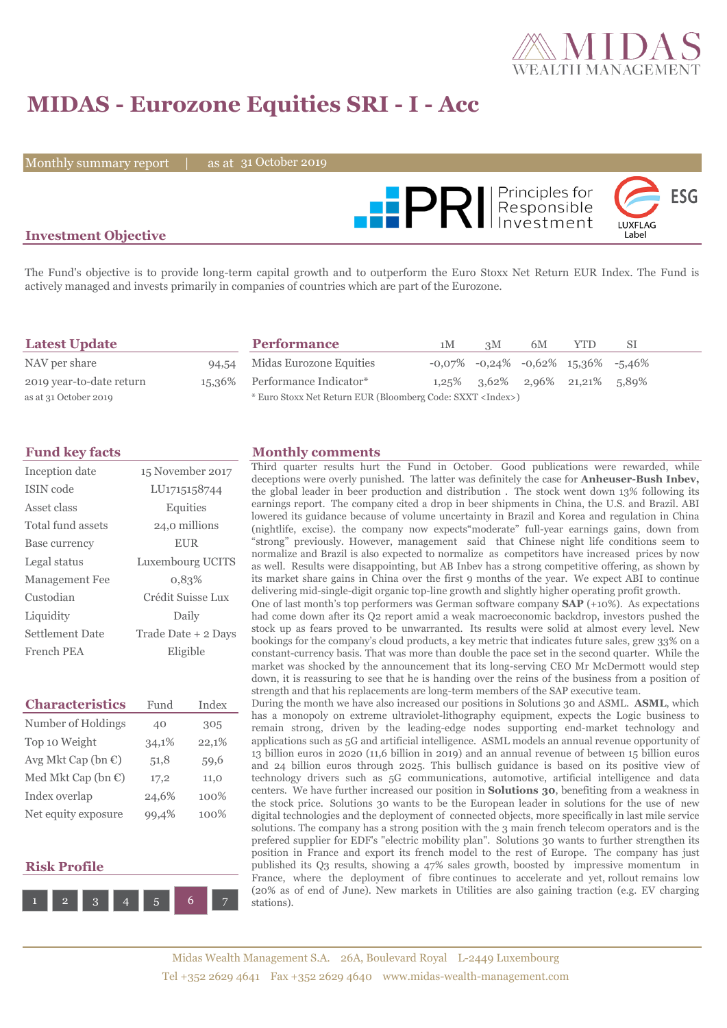

# **MIDAS - Eurozone Equities SRI - I - Acc**

Monthly summary report  $\|$ 

31 October 2019



### **Investment Objective**

The Fund's objective is to provide long-term capital growth and to outperform the Euro Stoxx Net Return EUR Index. The Fund is actively managed and invests primarily in companies of countries which are part of the Eurozone.

| <b>Latest Update</b>     | <b>Performance</b>                                                 | 1M | 3M | 6M | YTD.                                              | -SI |  |
|--------------------------|--------------------------------------------------------------------|----|----|----|---------------------------------------------------|-----|--|
| NAV per share            | 94.54 Midas Eurozone Equities                                      |    |    |    | $-0.07\%$ $-0.24\%$ $-0.62\%$ $15.36\%$ $-5.46\%$ |     |  |
| 2019 year-to-date return | 15,36% Performance Indicator*                                      |    |    |    | $1,25\%$ $3,62\%$ $2,96\%$ $21,21\%$ $5,89\%$     |     |  |
| as at 31 October 2019    | * Euro Stoxx Net Return EUR (Bloomberg Code: SXXT <index>)</index> |    |    |    |                                                   |     |  |

| Inception date    | 15 November 2017    |
|-------------------|---------------------|
| ISIN code         | LU1715158744        |
| Asset class       | Equities            |
| Total fund assets | 24,0 millions       |
| Base currency     | <b>EUR</b>          |
| Legal status      | Luxembourg UCITS    |
| Management Fee    | 0.83%               |
| Custodian         | Crédit Suisse Lux   |
| Liquidity         | Daily               |
| Settlement Date   | Trade Date + 2 Days |
| French PEA        | Eligible            |

| <b>Characteristics</b>         | Fund  | Index |
|--------------------------------|-------|-------|
| Number of Holdings             | 40    | 305   |
| Top 10 Weight                  | 34,1% | 22,1% |
| Avg Mkt Cap (bn $\mathbb{C}$ ) | 51,8  | 59,6  |
| Med Mkt Cap (bn $\mathbb{C}$ ) | 17,2  | 11,0  |
| Index overlap                  | 24,6% | 100%  |
| Net equity exposure            | 99.4% | 100%  |

#### **Risk Profile**



#### **Fund key facts Monthly comments**

Third quarter results hurt the Fund in October. Good publications were rewarded, while deceptions were overly punished. The latter was definitely the case for **Anheuser-Bush Inbev,** the global leader in beer production and distribution . The stock went down 13% following its earnings report. The company cited a drop in beer shipments in China, the U.S. and Brazil. ABI lowered its guidance because of volume uncertainty in Brazil and Korea and regulation in China (nightlife, excise). the company now expects"moderate" full-year earnings gains, down from "strong" previously. However, management said that Chinese night life conditions seem to normalize and Brazil is also expected to normalize as competitors have increased prices by now as well. Results were disappointing, but AB Inbev has a strong competitive offering, as shown by its market share gains in China over the first 9 months of the year. We expect ABI to continue delivering mid-single-digit organic top-line growth and slightly higher operating profit growth.

One of last month's top performers was German software company **SAP** (+10%). As expectations had come down after its Q2 report amid a weak macroeconomic backdrop, investors pushed the stock up as fears proved to be unwarranted. Its results were solid at almost every level. New bookings for the company's cloud products, a key metric that indicates future sales, grew 33% on a constant-currency basis. That was more than double the pace set in the second quarter. While the market was shocked by the announcement that its long-serving CEO Mr McDermott would step down, it is reassuring to see that he is handing over the reins of the business from a position of strength and that his replacements are long-term members of the SAP executive team.

During the month we have also increased our positions in Solutions 30 and ASML. **ASML**, which has a monopoly on extreme ultraviolet-lithography equipment, expects the Logic business to remain strong, driven by the leading-edge nodes supporting end-market technology and applications such as 5G and artificial intelligence. ASML models an annual revenue opportunity of 13 billion euros in 2020 (11,6 billion in 2019) and an annual revenue of between 15 billion euros and 24 billion euros through 2025. This bullisch guidance is based on its positive view of technology drivers such as 5G communications, automotive, artificial intelligence and data centers. We have further increased our position in **Solutions 30**, benefiting from a weakness in the stock price. Solutions 30 wants to be the European leader in solutions for the use of new digital technologies and the deployment of connected objects, more specifically in last mile service solutions. The company has a strong position with the 3 main french telecom operators and is the prefered supplier for EDF's "electric mobility plan". Solutions 30 wants to further strengthen its position in France and export its french model to the rest of Europe. The company has just published its Q3 results, showing a 47% sales growth, boosted by impressive momentum in France, where the deployment of fibre continues to accelerate and yet, rollout remains low (20% as of end of June). New markets in Utilities are also gaining traction (e.g. EV charging